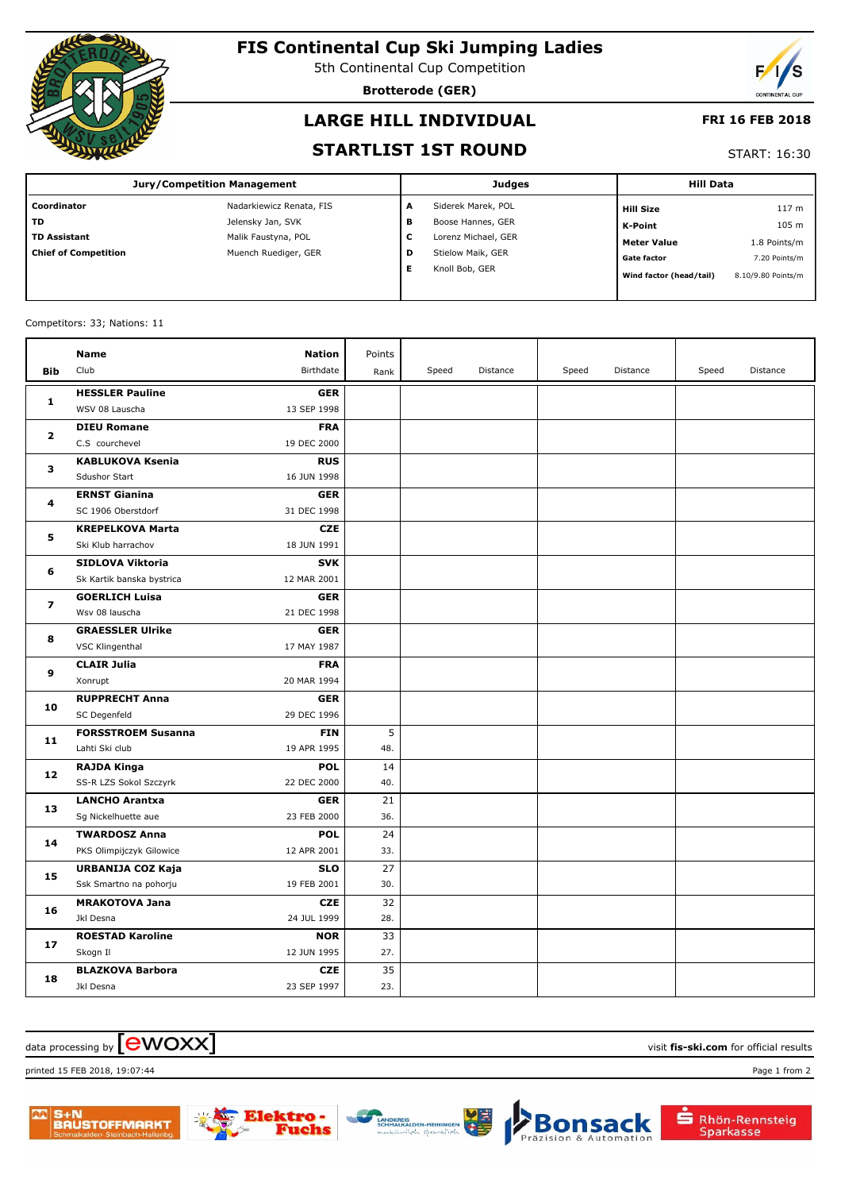

# **FIS Continental Cup Ski Jumping Ladies**

5th Continental Cup Competition

**Brotterode (GER)**



#### **LARGE HILL INDIVIDUAL**

#### **FRI 16 FEB 2018**

#### **STARTLIST 1ST ROUND**

START: 16:30

| Jury/Competition Management |                          |   | <b>Judges</b>       | <b>Hill Data</b>        |                    |  |
|-----------------------------|--------------------------|---|---------------------|-------------------------|--------------------|--|
| Coordinator                 | Nadarkiewicz Renata, FIS | A | Siderek Marek, POL  | <b>Hill Size</b>        | 117 <sub>m</sub>   |  |
| l TD                        | Jelensky Jan, SVK        | в | Boose Hannes, GER   | K-Point                 | 105 m              |  |
| TD Assistant                | Malik Faustyna, POL      | c | Lorenz Michael, GER | <b>Meter Value</b>      | 1.8 Points/m       |  |
| Chief of Competition        | Muench Ruediger, GER     | D | Stielow Maik, GER   | <b>Gate factor</b>      | 7.20 Points/m      |  |
|                             |                          | Е | Knoll Bob, GER      | Wind factor (head/tail) | 8.10/9.80 Points/m |  |
|                             |                          |   |                     |                         |                    |  |

#### Competitors: 33; Nations: 11

|                | <b>Name</b>               | <b>Nation</b> | Points |       |          |       |          |       |          |
|----------------|---------------------------|---------------|--------|-------|----------|-------|----------|-------|----------|
| <b>Bib</b>     | Club                      | Birthdate     | Rank   | Speed | Distance | Speed | Distance | Speed | Distance |
| 1              | <b>HESSLER Pauline</b>    | <b>GER</b>    |        |       |          |       |          |       |          |
|                | WSV 08 Lauscha            | 13 SEP 1998   |        |       |          |       |          |       |          |
| $\overline{2}$ | <b>DIEU Romane</b>        | <b>FRA</b>    |        |       |          |       |          |       |          |
|                | C.S courchevel            | 19 DEC 2000   |        |       |          |       |          |       |          |
| 3              | <b>KABLUKOVA Ksenia</b>   | <b>RUS</b>    |        |       |          |       |          |       |          |
|                | Sdushor Start             | 16 JUN 1998   |        |       |          |       |          |       |          |
| 4              | <b>ERNST Gianina</b>      | <b>GER</b>    |        |       |          |       |          |       |          |
|                | SC 1906 Oberstdorf        | 31 DEC 1998   |        |       |          |       |          |       |          |
| 5              | <b>KREPELKOVA Marta</b>   | <b>CZE</b>    |        |       |          |       |          |       |          |
|                | Ski Klub harrachov        | 18 JUN 1991   |        |       |          |       |          |       |          |
| 6              | SIDLOVA Viktoria          | <b>SVK</b>    |        |       |          |       |          |       |          |
|                | Sk Kartik banska bystrica | 12 MAR 2001   |        |       |          |       |          |       |          |
| $\overline{ }$ | <b>GOERLICH Luisa</b>     | <b>GER</b>    |        |       |          |       |          |       |          |
|                | Wsv 08 lauscha            | 21 DEC 1998   |        |       |          |       |          |       |          |
| 8              | <b>GRAESSLER Ulrike</b>   | <b>GER</b>    |        |       |          |       |          |       |          |
|                | VSC Klingenthal           | 17 MAY 1987   |        |       |          |       |          |       |          |
| 9              | <b>CLAIR Julia</b>        | <b>FRA</b>    |        |       |          |       |          |       |          |
|                | Xonrupt                   | 20 MAR 1994   |        |       |          |       |          |       |          |
| 10             | <b>RUPPRECHT Anna</b>     | <b>GER</b>    |        |       |          |       |          |       |          |
|                | SC Degenfeld              | 29 DEC 1996   |        |       |          |       |          |       |          |
| 11             | <b>FORSSTROEM Susanna</b> | <b>FIN</b>    | 5      |       |          |       |          |       |          |
|                | Lahti Ski club            | 19 APR 1995   | 48.    |       |          |       |          |       |          |
| 12             | <b>RAJDA Kinga</b>        | <b>POL</b>    | 14     |       |          |       |          |       |          |
|                | SS-R LZS Sokol Szczyrk    | 22 DEC 2000   | 40.    |       |          |       |          |       |          |
| 13             | <b>LANCHO Arantxa</b>     | <b>GER</b>    | 21     |       |          |       |          |       |          |
|                | Sg Nickelhuette aue       | 23 FEB 2000   | 36.    |       |          |       |          |       |          |
| 14             | <b>TWARDOSZ Anna</b>      | <b>POL</b>    | 24     |       |          |       |          |       |          |
|                | PKS Olimpijczyk Gilowice  | 12 APR 2001   | 33.    |       |          |       |          |       |          |
| 15             | URBANIJA COZ Kaja         | <b>SLO</b>    | 27     |       |          |       |          |       |          |
|                | Ssk Smartno na pohorju    | 19 FEB 2001   | 30.    |       |          |       |          |       |          |
| 16             | <b>MRAKOTOVA Jana</b>     | <b>CZE</b>    | 32     |       |          |       |          |       |          |
|                | Jkl Desna                 | 24 JUL 1999   | 28.    |       |          |       |          |       |          |
| 17             | <b>ROESTAD Karoline</b>   | <b>NOR</b>    | 33     |       |          |       |          |       |          |
|                | Skogn Il                  | 12 JUN 1995   | 27.    |       |          |       |          |       |          |
| 18             | <b>BLAZKOVA Barbora</b>   | <b>CZE</b>    | 35     |       |          |       |          |       |          |
|                | Jkl Desna                 | 23 SEP 1997   | 23.    |       |          |       |          |       |          |

### $\frac{1}{2}$  data processing by  $\boxed{\text{ewOX}}$

printed 15 FEB 2018, 19:07:44 Page 1 from 2